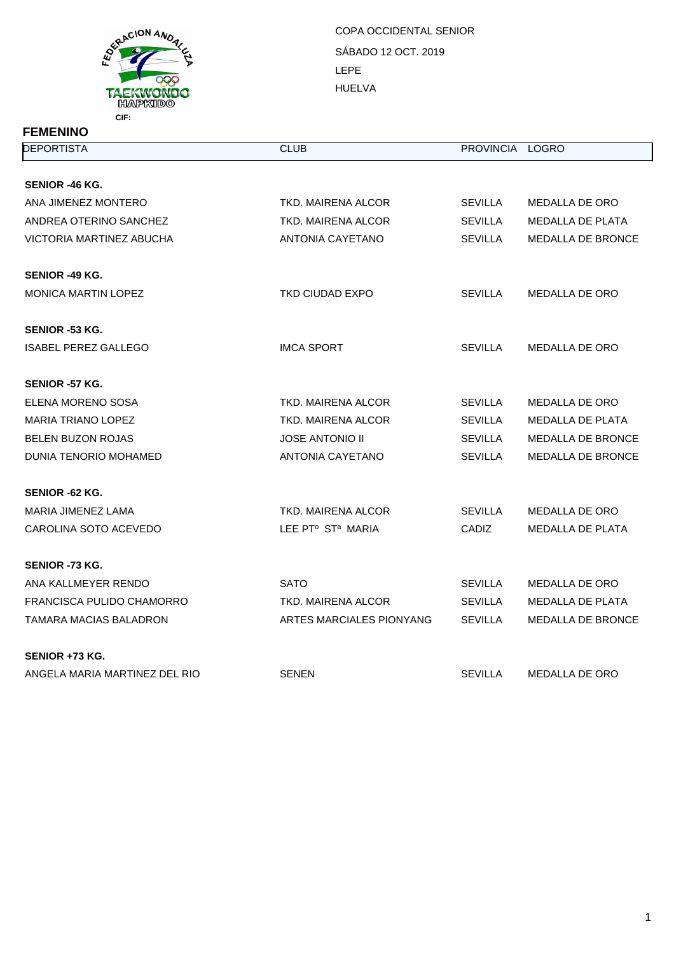

**FEMENINO**

## SÁBADO 12 OCT. 2019 LEPE HUELVA COPA OCCIDENTAL SENIOR

| <b>DEPORTISTA</b>             | <b>CLUB</b>                   | PROVINCIA LOGRO |                          |
|-------------------------------|-------------------------------|-----------------|--------------------------|
|                               |                               |                 |                          |
| SENIOR -46 KG.                |                               |                 |                          |
| ANA JIMENEZ MONTERO           | TKD. MAIRENA ALCOR            | <b>SEVILLA</b>  | MEDALLA DE ORO           |
| ANDREA OTERINO SANCHEZ        | <b>TKD. MAIRENA ALCOR</b>     | <b>SEVILLA</b>  | <b>MEDALLA DE PLATA</b>  |
| VICTORIA MARTINEZ ABUCHA      | ANTONIA CAYETANO              | <b>SEVILLA</b>  | MEDALLA DE BRONCE        |
| SENIOR -49 KG.                |                               |                 |                          |
| <b>MONICA MARTIN LOPEZ</b>    | TKD CIUDAD EXPO               | <b>SEVILLA</b>  | MEDALLA DE ORO           |
| SENIOR -53 KG.                |                               |                 |                          |
| <b>ISABEL PEREZ GALLEGO</b>   | <b>IMCA SPORT</b>             | SEVILLA         | <b>MEDALLA DE ORO</b>    |
| <b>SENIOR -57 KG.</b>         |                               |                 |                          |
| ELENA MORENO SOSA             | TKD. MAIRENA ALCOR            | <b>SEVILLA</b>  | MEDALLA DE ORO           |
| MARIA TRIANO LOPEZ            | TKD. MAIRENA ALCOR            | <b>SEVILLA</b>  | MEDALLA DE PLATA         |
| <b>BELEN BUZON ROJAS</b>      | <b>JOSE ANTONIO II</b>        | <b>SEVILLA</b>  | <b>MEDALLA DE BRONCE</b> |
| DUNIA TENORIO MOHAMED         | ANTONIA CAYETANO              | <b>SEVILLA</b>  | <b>MEDALLA DE BRONCE</b> |
| <b>SENIOR -62 KG.</b>         |                               |                 |                          |
| MARIA JIMENEZ LAMA            | TKD. MAIRENA ALCOR            | <b>SEVILLA</b>  | <b>MEDALLA DE ORO</b>    |
| CAROLINA SOTO ACEVEDO         | LEE PTº ST <sup>a</sup> MARIA | CADIZ           | <b>MEDALLA DE PLATA</b>  |
| SENIOR -73 KG.                |                               |                 |                          |
| ANA KALLMEYER RENDO           | <b>SATO</b>                   | <b>SEVILLA</b>  | <b>MEDALLA DE ORO</b>    |
| FRANCISCA PULIDO CHAMORRO     | TKD, MAIRENA ALCOR            | <b>SEVILLA</b>  | <b>MEDALLA DE PLATA</b>  |
| TAMARA MACIAS BALADRON        | ARTES MARCIALES PIONYANG      | SEVILLA         | <b>MEDALLA DE BRONCE</b> |
| SENIOR +73 KG.                |                               |                 |                          |
| ANGELA MARIA MARTINEZ DEL RIO | <b>SENEN</b>                  | <b>SEVILLA</b>  | <b>MEDALLA DE ORO</b>    |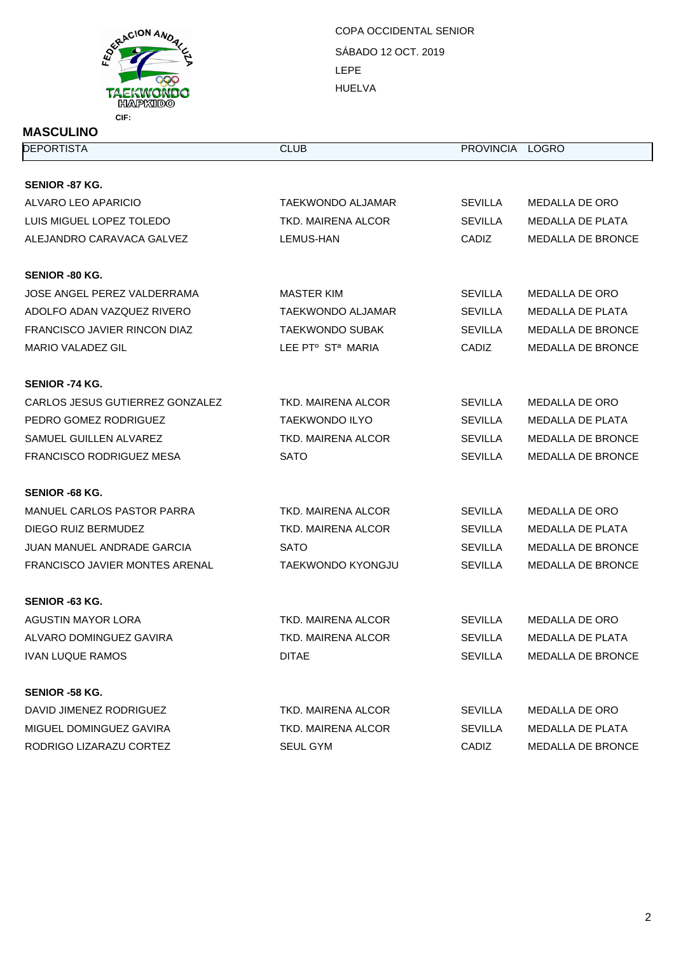

## **MASCULINO**

SÁBADO 12 OCT. 2019 LEPE HUELVA COPA OCCIDENTAL SENIOR

| <b>DEPORTISTA</b>                     | <b>CLUB</b>                               | PROVINCIA LOGRO |                          |
|---------------------------------------|-------------------------------------------|-----------------|--------------------------|
| <b>SENIOR -87 KG.</b>                 |                                           |                 |                          |
| ALVARO LEO APARICIO                   | TAEKWONDO ALJAMAR                         | <b>SEVILLA</b>  | MEDALLA DE ORO           |
| LUIS MIGUEL LOPEZ TOLEDO              | <b>TKD. MAIRENA ALCOR</b>                 | <b>SEVILLA</b>  | MEDALLA DE PLATA         |
| ALEJANDRO CARAVACA GALVEZ             | LEMUS-HAN                                 | CADIZ           | <b>MEDALLA DE BRONCE</b> |
| <b>SENIOR -80 KG.</b>                 |                                           |                 |                          |
| JOSE ANGEL PEREZ VALDERRAMA           | <b>MASTER KIM</b>                         | <b>SEVILLA</b>  | MEDALLA DE ORO           |
| ADOLFO ADAN VAZQUEZ RIVERO            | TAEKWONDO ALJAMAR                         | <b>SEVILLA</b>  | MEDALLA DE PLATA         |
| <b>FRANCISCO JAVIER RINCON DIAZ</b>   | <b>TAEKWONDO SUBAK</b>                    | <b>SEVILLA</b>  | <b>MEDALLA DE BRONCE</b> |
| MARIO VALADEZ GIL                     | LEE PT <sup>o</sup> ST <sup>a</sup> MARIA | CADIZ           | <b>MEDALLA DE BRONCE</b> |
| <b>SENIOR -74 KG.</b>                 |                                           |                 |                          |
| CARLOS JESUS GUTIERREZ GONZALEZ       | TKD. MAIRENA ALCOR                        | <b>SEVILLA</b>  | MEDALLA DE ORO           |
| PEDRO GOMEZ RODRIGUEZ                 | <b>TAEKWONDO ILYO</b>                     | <b>SEVILLA</b>  | <b>MEDALLA DE PLATA</b>  |
| SAMUEL GUILLEN ALVAREZ                | TKD. MAIRENA ALCOR                        | <b>SEVILLA</b>  | MEDALLA DE BRONCE        |
| FRANCISCO RODRIGUEZ MESA              | <b>SATO</b>                               | <b>SEVILLA</b>  | <b>MEDALLA DE BRONCE</b> |
| <b>SENIOR -68 KG.</b>                 |                                           |                 |                          |
| MANUEL CARLOS PASTOR PARRA            | TKD. MAIRENA ALCOR                        | <b>SEVILLA</b>  | MEDALLA DE ORO           |
| DIEGO RUIZ BERMUDEZ                   | TKD. MAIRENA ALCOR                        | <b>SEVILLA</b>  | <b>MEDALLA DE PLATA</b>  |
| JUAN MANUEL ANDRADE GARCIA            | SATO                                      | <b>SEVILLA</b>  | <b>MEDALLA DE BRONCE</b> |
| <b>FRANCISCO JAVIER MONTES ARENAL</b> | <b>TAEKWONDO KYONGJU</b>                  | <b>SEVILLA</b>  | MEDALLA DE BRONCE        |
| <b>SENIOR -63 KG.</b>                 |                                           |                 |                          |
| AGUSTIN MAYOR LORA                    | TKD. MAIRENA ALCOR                        | <b>SEVILLA</b>  | <b>MEDALLA DE ORO</b>    |
| ALVARO DOMINGUEZ GAVIRA               | TKD. MAIRENA ALCOR                        | <b>SEVILLA</b>  | <b>MEDALLA DE PLATA</b>  |
| <b>IVAN LUQUE RAMOS</b>               | <b>DITAE</b>                              | <b>SEVILLA</b>  | MEDALLA DE BRONCE        |
| <b>SENIOR -58 KG.</b>                 |                                           |                 |                          |
| DAVID JIMENEZ RODRIGUEZ               | TKD. MAIRENA ALCOR                        | <b>SEVILLA</b>  | MEDALLA DE ORO           |
| MIGUEL DOMINGUEZ GAVIRA               | TKD. MAIRENA ALCOR                        | <b>SEVILLA</b>  | MEDALLA DE PLATA         |
| RODRIGO LIZARAZU CORTEZ               | SEUL GYM                                  | CADIZ           | MEDALLA DE BRONCE        |